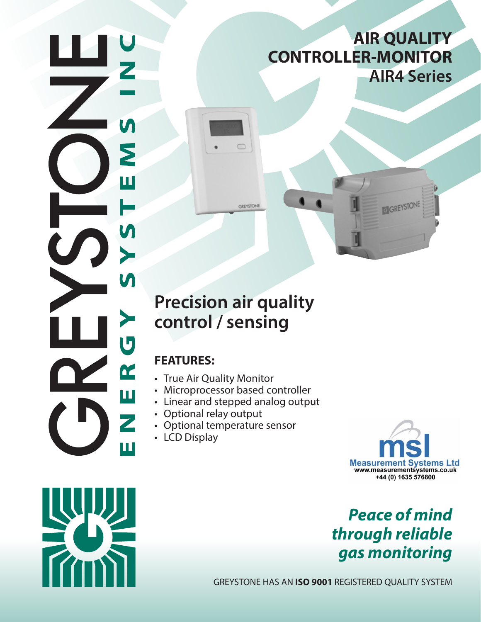# **AIR QUALITY CONTROLLER-MONITOR AIR4 Series**

# **Precision air quality control / sensing**

 $\Box$ 

**GREYSTONE** 

# **FEATURES:**

Σ

Ш

N

 $\blacktriangleright$ 

 $\boldsymbol{\mathsf{M}}$ 

 $\overline{\mathbf{U}}$ 

ER

Z

П

- True Air Quality Monitor
- Microprocessor based controller
- Linear and stepped analog output
- Optional relay output
- Optional temperature sensor
- LCD Display



GREYSTONE

# *Peace of mind through reliable gas monitoring*

GREYSTONE HAS AN **ISO 9001** REGISTERED QUALITY SYSTEM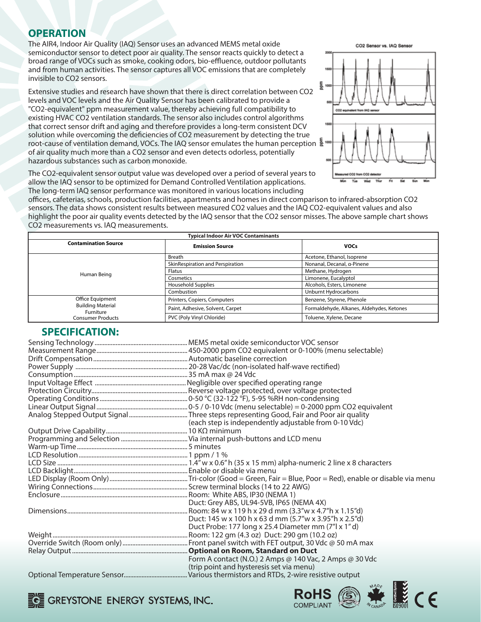### **OPERATION**

The AIR4, Indoor Air Quality (IAQ) Sensor uses an advanced MEMS metal oxide semiconductor sensor to detect poor air quality. The sensor reacts quickly to detect a broad range of VOCs such as smoke, cooking odors, bio-effluence, outdoor pollutants and from human activities. The sensor captures all VOC emissions that are completely invisible to CO2 sensors.

Extensive studies and research have shown that there is direct correlation between CO2 levels and VOC levels and the Air Quality Sensor has been calibrated to provide a "CO2-equivalent" ppm measurement value, thereby achieving full compatibility to existing HVAC CO2 ventilation standards. The sensor also includes control algorithms that correct sensor drift and aging and therefore provides a long-term consistent DCV solution while overcoming the deficiencies of CO2 measurement by detecting the true root-cause of ventilation demand, VOCs. The IAQ sensor emulates the human perception of air quality much more than a CO2 sensor and even detects odorless, potentially hazardous substances such as carbon monoxide.



ROHS A MARK CE

The CO2-equivalent sensor output value was developed over a period of several years to allow the IAQ sensor to be optimized for Demand Controlled Ventilation applications. The long-term IAQ sensor performance was monitored in various locations including

offices, cafeterias, schools, production facilities, apartments and homes in direct comparison to infrared-absorption CO2 sensors. The data shows consistent results between measured CO2 values and the IAQ CO2-equivalent values and also highlight the poor air quality events detected by the IAQ sensor that the CO2 sensor misses. The above sample chart shows CO2 measurements vs. IAQ measurements.

| <b>Typical Indoor Air VOC Contaminants</b> |                                  |                                           |  |  |  |
|--------------------------------------------|----------------------------------|-------------------------------------------|--|--|--|
| <b>Contamination Source</b>                | <b>Emission Source</b>           | <b>VOCs</b>                               |  |  |  |
|                                            | <b>Breath</b>                    | Acetone, Ethanol, Isoprene                |  |  |  |
|                                            | SkinRespiration and Perspiration | Nonanal, Decanal, a-Pinene                |  |  |  |
| Human Being                                | Flatus                           | Methane, Hydrogen                         |  |  |  |
|                                            | Cosmetics                        | Limonene, Eucalyptol                      |  |  |  |
|                                            | <b>Household Supplies</b>        | Alcohols, Esters, Limonene                |  |  |  |
|                                            | Combustion                       | Unburnt Hydrocarbons                      |  |  |  |
| Office Equipment                           | Printers, Copiers, Computers     | Benzene, Styrene, Phenole                 |  |  |  |
| <b>Building Material</b><br>Furniture      | Paint, Adhesive, Solvent, Carpet | Formaldehyde, Alkanes, Aldehydes, Ketones |  |  |  |
| <b>Consumer Products</b>                   | PVC (Poly Vinyl Chloride)        | Toluene, Xylene, Decane                   |  |  |  |

| <b>SPECIFICATION:</b> |                                                         |
|-----------------------|---------------------------------------------------------|
|                       |                                                         |
|                       |                                                         |
|                       |                                                         |
|                       |                                                         |
|                       |                                                         |
|                       |                                                         |
|                       |                                                         |
|                       |                                                         |
|                       |                                                         |
|                       |                                                         |
|                       | (each step is independently adjustable from 0-10 Vdc)   |
|                       |                                                         |
|                       |                                                         |
|                       |                                                         |
|                       |                                                         |
|                       |                                                         |
|                       |                                                         |
|                       |                                                         |
|                       |                                                         |
|                       |                                                         |
|                       | Duct: Grey ABS, UL94-5VB, IP65 (NEMA 4X)                |
|                       |                                                         |
|                       | Duct: 145 w x 100 h x 63 d mm (5.7"w x 3.95"h x 2.5"d)  |
|                       | Duct Probe: 177 long x 25.4 Diameter mm (7"l x 1"d)     |
|                       |                                                         |
|                       |                                                         |
|                       |                                                         |
|                       | Form A contact (N.O.) 2 Amps @ 140 Vac, 2 Amps @ 30 Vdc |
|                       | (trip point and hysteresis set via menu)                |
|                       |                                                         |

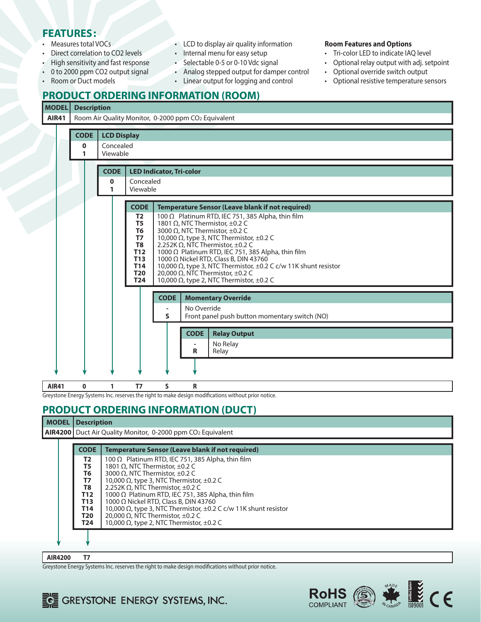### **FEATURES:**

- Measures total VOCs
- Direct correlation to CO2 levels
- High sensitivity and fast response
- 0 to 2000 ppm CO2 output signal
- Room or Duct models
- LCD to display air quality information
- Internal menu for easy setup
- Selectable 0-5 or 0-10 Vdc signal
- Analog stepped output for damper control
- Linear output for logging and control

#### **Room Features and Options**

- Tri-color LED to indicate IAQ level
- Optional relay output with adj. setpoint
- Optional override switch output
- Optional resistive temperature sensors

### **PRODUCT ORDERING INFORMATION (ROOM)**

#### **MODEL Description**

**AIR41** | Room Air Quality Monitor, 0-2000 ppm CO<sub>2</sub> Equivalent

|                                                     |  | <b>CODE</b>   | <b>LCD Display</b>    |                                                                                                                                                         |             |                                                                                                                                                                                                                                                                                                                                                                                                                                                                                                                    |  |  |  |
|-----------------------------------------------------|--|---------------|-----------------------|---------------------------------------------------------------------------------------------------------------------------------------------------------|-------------|--------------------------------------------------------------------------------------------------------------------------------------------------------------------------------------------------------------------------------------------------------------------------------------------------------------------------------------------------------------------------------------------------------------------------------------------------------------------------------------------------------------------|--|--|--|
|                                                     |  | $\bf{0}$<br>1 | Concealed<br>Viewable |                                                                                                                                                         |             |                                                                                                                                                                                                                                                                                                                                                                                                                                                                                                                    |  |  |  |
|                                                     |  |               |                       |                                                                                                                                                         |             |                                                                                                                                                                                                                                                                                                                                                                                                                                                                                                                    |  |  |  |
|                                                     |  |               | <b>CODE</b>           | <b>LED Indicator, Tri-color</b>                                                                                                                         |             |                                                                                                                                                                                                                                                                                                                                                                                                                                                                                                                    |  |  |  |
|                                                     |  |               | 0<br>1                | Concealed<br>Viewable                                                                                                                                   |             |                                                                                                                                                                                                                                                                                                                                                                                                                                                                                                                    |  |  |  |
|                                                     |  |               |                       |                                                                                                                                                         |             |                                                                                                                                                                                                                                                                                                                                                                                                                                                                                                                    |  |  |  |
|                                                     |  |               |                       | <b>CODE</b>                                                                                                                                             |             | <b>Temperature Sensor (Leave blank if not required)</b>                                                                                                                                                                                                                                                                                                                                                                                                                                                            |  |  |  |
|                                                     |  |               |                       | T <sub>2</sub><br>T <sub>5</sub><br>T <sub>6</sub><br><b>T7</b><br>T <sub>8</sub><br><b>T12</b><br><b>T13</b><br><b>T14</b><br><b>T20</b><br><b>T24</b> |             | 100 $\Omega$ Platinum RTD, IEC 751, 385 Alpha, thin film<br>1801 $\Omega$ , NTC Thermistor, ±0.2 C<br>3000 $\Omega$ , NTC Thermistor, ±0.2 C<br>10,000 $\Omega$ , type 3, NTC Thermistor, $\pm$ 0.2 C<br>2.252K $\Omega$ , NTC Thermistor, ±0.2 C<br>1000 Ω Platinum RTD, IEC 751, 385 Alpha, thin film<br>1000 Ω Nickel RTD, Class B, DIN 43760<br>10,000 Ω, type 3, NTC Thermistor, ±0.2 C c/w 11K shunt resistor<br>20,000 Ω, NTC Thermistor, $±0.2$ C<br>10,000 $\Omega$ , type 2, NTC Thermistor, $\pm$ 0.2 C |  |  |  |
|                                                     |  |               |                       |                                                                                                                                                         | <b>CODE</b> | <b>Momentary Override</b>                                                                                                                                                                                                                                                                                                                                                                                                                                                                                          |  |  |  |
|                                                     |  |               |                       |                                                                                                                                                         |             | No Override                                                                                                                                                                                                                                                                                                                                                                                                                                                                                                        |  |  |  |
| S.<br>Front panel push button momentary switch (NO) |  |               |                       |                                                                                                                                                         |             |                                                                                                                                                                                                                                                                                                                                                                                                                                                                                                                    |  |  |  |
|                                                     |  |               |                       |                                                                                                                                                         |             | <b>Relay Output</b><br><b>CODE</b>                                                                                                                                                                                                                                                                                                                                                                                                                                                                                 |  |  |  |
|                                                     |  |               |                       |                                                                                                                                                         |             | No Relay<br>R<br>Relay                                                                                                                                                                                                                                                                                                                                                                                                                                                                                             |  |  |  |
|                                                     |  |               |                       |                                                                                                                                                         |             |                                                                                                                                                                                                                                                                                                                                                                                                                                                                                                                    |  |  |  |
| <b>AIR41</b>                                        |  | 0             | 1                     | T7                                                                                                                                                      | S.          | R                                                                                                                                                                                                                                                                                                                                                                                                                                                                                                                  |  |  |  |

Greystone Energy Systems Inc. reserves the right to make design modifications without prior notice.

## **PRODUCT ORDERING INFORMATION (DUCT)**

#### **MODEL Description**

**AIR4200** Duct Air Quality Monitor, 0-2000 ppm CO<sub>2</sub> Equivalent

| <b>CODE</b>                                                 | <b>Temperature Sensor (Leave blank if not required)</b>              |  |  |  |  |
|-------------------------------------------------------------|----------------------------------------------------------------------|--|--|--|--|
| T2                                                          | 100 $\Omega$ Platinum RTD, IEC 751, 385 Alpha, thin film             |  |  |  |  |
| T5                                                          | 1801 Ω, NTC Thermistor, $±0.2$ C                                     |  |  |  |  |
| T6                                                          | 3000 $\Omega$ , NTC Thermistor, $\pm 0.2$ C                          |  |  |  |  |
| 10,000 $\Omega$ , type 3, NTC Thermistor, $\pm$ 0.2 C<br>Τ7 |                                                                      |  |  |  |  |
| T8                                                          | 2.252K $\Omega$ , NTC Thermistor, $\pm 0.2$ C                        |  |  |  |  |
| T <sub>12</sub>                                             | 1000 $\Omega$ Platinum RTD, IEC 751, 385 Alpha, thin film            |  |  |  |  |
| <b>T13</b>                                                  | 1000 Ω Nickel RTD, Class B, DIN 43760                                |  |  |  |  |
| T <sub>14</sub>                                             | 10,000 Ω, type 3, NTC Thermistor, $\pm$ 0.2 C c/w 11K shunt resistor |  |  |  |  |
| <b>T20</b>                                                  | 20,000 $\Omega$ , NTC Thermistor, $\pm$ 0.2 C                        |  |  |  |  |
| T24                                                         | 10,000 $\Omega$ , type 2, NTC Thermistor, $\pm$ 0.2 C                |  |  |  |  |
|                                                             |                                                                      |  |  |  |  |
|                                                             |                                                                      |  |  |  |  |

**AIR4200 T7** 

Greystone Energy Systems Inc. reserves the right to make design modifications without prior notice.